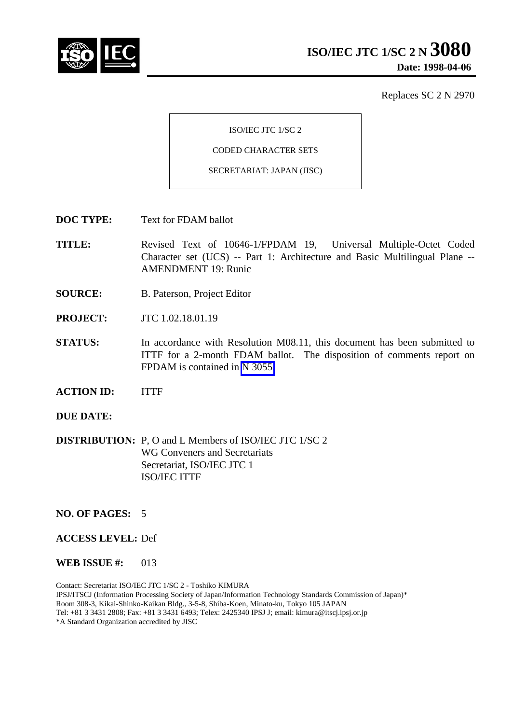

Replaces SC 2 N 2970

ISO/IEC JTC 1/SC 2

CODED CHARACTER SETS

SECRETARIAT: JAPAN (JISC)

**DOC TYPE:** Text for FDAM ballot

**TITLE:** Revised Text of 10646-1/FPDAM 19, Universal Multiple-Octet Coded Character set (UCS) -- Part 1: Architecture and Basic Multilingual Plane -- AMENDMENT 19: Runic

- **SOURCE:** B. Paterson, Project Editor
- **PROJECT:** JTC 1.02.18.01.19
- **STATUS:** In accordance with Resolution M08.11, this document has been submitted to ITTF for a 2-month FDAM ballot. The disposition of comments report on FPDAM is contained in N 3055.
- **ACTION ID:** ITTF
- **DUE DATE:**
- **DISTRIBUTION:** P, O and L Members of ISO/IEC JTC 1/SC 2 WG Conveners and Secretariats Secretariat, ISO/IEC JTC 1 ISO/IEC ITTF

#### **NO. OF PAGES:** 5

#### **ACCESS LEVEL:** Def

#### **WEB ISSUE #:** 013

Contact: Secretariat ISO/IEC JTC 1/SC 2 - Toshiko KIMURA IPSJ/ITSCJ (Information Processing Society of Japan/Information Technology Standards Commission of Japan)\* Room 308-3, Kikai-Shinko-Kaikan Bldg., 3-5-8, Shiba-Koen, Minato-ku, Tokyo 105 JAPAN Tel: +81 3 3431 2808; Fax: +81 3 3431 6493; Telex: 2425340 IPSJ J; email: kimura@itscj.ipsj.or.jp \*A Standard Organization accredited by JISC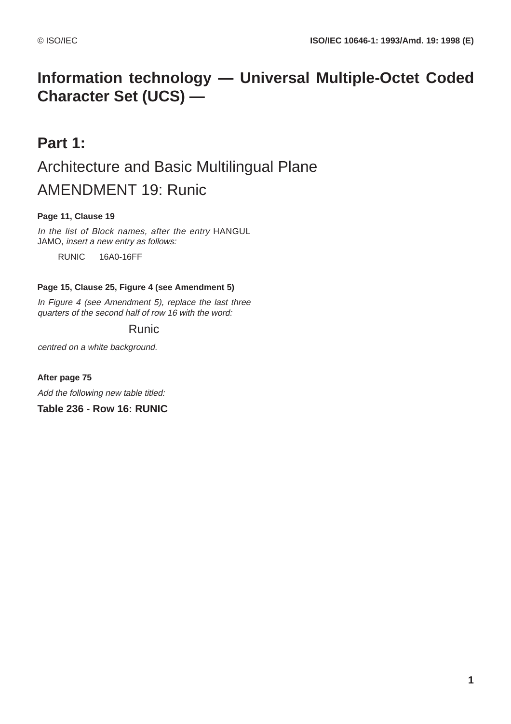## **Information technology — Universal Multiple-Octet Coded Character Set (UCS) —**

# **Part 1:** Architecture and Basic Multilingual Plane AMENDMENT 19: Runic

## **Page 11, Clause 19**

In the list of Block names, after the entry HANGUL JAMO, insert a new entry as follows:

RUNIC 16A0-16FF

#### **Page 15, Clause 25, Figure 4 (see Amendment 5)**

In Figure 4 (see Amendment 5), replace the last three quarters of the second half of row 16 with the word:

## Runic

centred on a white background.

**After page 75**

Add the following new table titled:

**Table 236 - Row 16: RUNIC**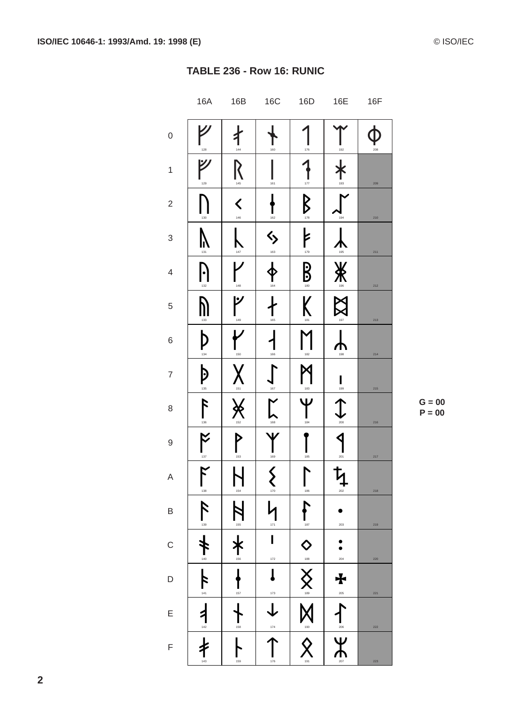$G = 00$  $P = 00$ 

|                          | <b>16A</b>                                                                                                                                                                                                                                                                                                                                                                                                                                                                                                      | 16B                    | 16C                      | 16D                  | 16E             | 16F     |
|--------------------------|-----------------------------------------------------------------------------------------------------------------------------------------------------------------------------------------------------------------------------------------------------------------------------------------------------------------------------------------------------------------------------------------------------------------------------------------------------------------------------------------------------------------|------------------------|--------------------------|----------------------|-----------------|---------|
| $\mathbf{0}$             | 128                                                                                                                                                                                                                                                                                                                                                                                                                                                                                                             | 144                    | 160                      | 176                  | 192             | 208     |
| $\mathbf 1$              | 129                                                                                                                                                                                                                                                                                                                                                                                                                                                                                                             | $\frac{1}{145}$        | 161                      | 177                  | $\frac{1}{193}$ | 209     |
| $\sqrt{2}$               | 130                                                                                                                                                                                                                                                                                                                                                                                                                                                                                                             | $\blacklozenge$<br>146 | 162                      | $\n  B\n$            | 194             | 210     |
| 3                        | 131                                                                                                                                                                                                                                                                                                                                                                                                                                                                                                             | 147                    | $\Leftrightarrow$<br>163 | $\frac{1}{\sqrt{2}}$ | 195             | 211     |
| $\overline{\mathcal{L}}$ | 132                                                                                                                                                                                                                                                                                                                                                                                                                                                                                                             | 148                    | 164                      | $\mathbf{B}$         | <u>¥</u><br>∕   | 212     |
| 5                        | 133                                                                                                                                                                                                                                                                                                                                                                                                                                                                                                             | ۲<br>149               | 165                      | K<br>181             | 197             | 213     |
| 6                        | $\mathbf{D}_{\scriptscriptstyle{134}}$                                                                                                                                                                                                                                                                                                                                                                                                                                                                          | 150                    | 166                      | 182                  | 198             | 214     |
| $\overline{7}$           | $\mathbf{D}$                                                                                                                                                                                                                                                                                                                                                                                                                                                                                                    | 151                    | 167                      | 183                  | $\prod_{199}$   | 215     |
| 8                        | $\sum_{136}$                                                                                                                                                                                                                                                                                                                                                                                                                                                                                                    | 152                    | 168                      | 184                  | 200             | 216     |
| 9                        | $^{-137}$                                                                                                                                                                                                                                                                                                                                                                                                                                                                                                       | D<br>153               | 169                      | 185                  | 201             | 217     |
| $\mathsf{A}$             | $\mathsf{K}% _{0}\!\left( \mathcal{M}_{0}\right) ^{T}\!\left( \mathcal{M}_{0}\!\left( \mathcal{M}_{0}\right) \right) ^{-1}\!\!\left( \mathcal{M}_{0}\!\left( \mathcal{M}_{0}\right) \right) ^{-1}\!\!\left( \mathcal{M}_{0}\!\left( \mathcal{M}_{0}\right) \right) ^{-1}\!\!\left( \mathcal{M}_{0}\!\left( \mathcal{M}_{0}\right) \right) ^{-1}\!\!\left( \mathcal{M}_{0}\!\left( \mathcal{M}_{0}\right) \right) ^{-1}\!\!\left( \mathcal{M}_{0}\!\left( \mathcal{M}_{0}\right) \right) ^{-1}\!\!\$<br>I<br>138 | L.<br>I<br>154         | ζ<br>$\sum_{170}$        | L<br>186             | ち<br>┱<br>202   | 218     |
| $\mathsf B$              | $\mathcal{F}% _{0}$<br>139                                                                                                                                                                                                                                                                                                                                                                                                                                                                                      | 155                    | 171                      | 187                  | 203             | 219     |
| $\mathsf{C}$             | 140                                                                                                                                                                                                                                                                                                                                                                                                                                                                                                             | 156                    | I<br>172                 | $\Diamond$<br>188    | 204             | 220     |
| D                        | 141                                                                                                                                                                                                                                                                                                                                                                                                                                                                                                             | 157                    | I<br>173                 | 189                  | ╋<br>205        | 221     |
| E                        | $142$                                                                                                                                                                                                                                                                                                                                                                                                                                                                                                           | 158                    | 174                      | 190                  | 206             | 222     |
| F                        | 143                                                                                                                                                                                                                                                                                                                                                                                                                                                                                                             | 159                    | 176                      | 191                  | $\sum_{\alpha}$ | $223\,$ |

 $\overline{2}$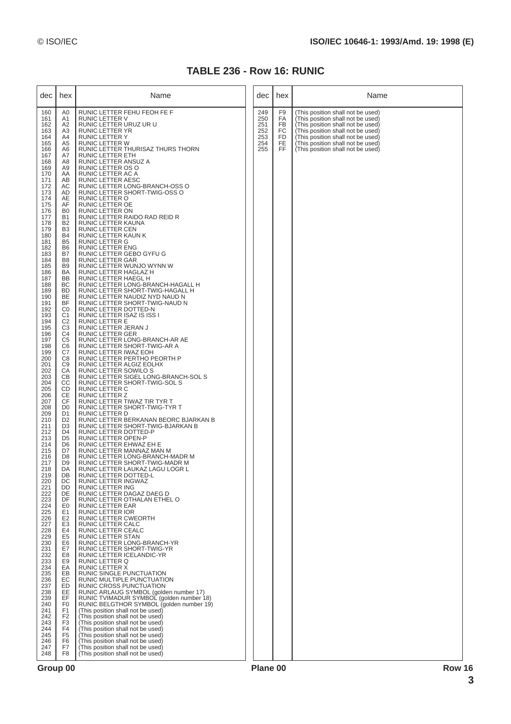## **TABLE 236 - Row 16: RUNIC**

| dec l                                                                                                                                                                                                                                                                                                                                                                                                                                                                                                                                                                                                                                       | hex                                                                                                                                                                                                                                                                                                                                                                                                                                                                                                                                                                                                                                                                                                                                                                                                                                                                                                                                                                                                                                                                                             | Name                                                                                                                                                                                                                                                                                                                                                                                                                                                                                                                                                                                                                                                                                                                                                                                                                                                                                                                                                                                                                                                                                                                                                                                                                                                                                                                                                                                                                                                                                                                                                                                                                                                                                                                                                                                                                                                                                                                                                                                                                                                                                                                                                                                                                                                                                                                                                                                                                                                                                                                                                                                             |  | dec                                           | hex                                           | Name                                                                                                                                                                                                                                                            |
|---------------------------------------------------------------------------------------------------------------------------------------------------------------------------------------------------------------------------------------------------------------------------------------------------------------------------------------------------------------------------------------------------------------------------------------------------------------------------------------------------------------------------------------------------------------------------------------------------------------------------------------------|-------------------------------------------------------------------------------------------------------------------------------------------------------------------------------------------------------------------------------------------------------------------------------------------------------------------------------------------------------------------------------------------------------------------------------------------------------------------------------------------------------------------------------------------------------------------------------------------------------------------------------------------------------------------------------------------------------------------------------------------------------------------------------------------------------------------------------------------------------------------------------------------------------------------------------------------------------------------------------------------------------------------------------------------------------------------------------------------------|--------------------------------------------------------------------------------------------------------------------------------------------------------------------------------------------------------------------------------------------------------------------------------------------------------------------------------------------------------------------------------------------------------------------------------------------------------------------------------------------------------------------------------------------------------------------------------------------------------------------------------------------------------------------------------------------------------------------------------------------------------------------------------------------------------------------------------------------------------------------------------------------------------------------------------------------------------------------------------------------------------------------------------------------------------------------------------------------------------------------------------------------------------------------------------------------------------------------------------------------------------------------------------------------------------------------------------------------------------------------------------------------------------------------------------------------------------------------------------------------------------------------------------------------------------------------------------------------------------------------------------------------------------------------------------------------------------------------------------------------------------------------------------------------------------------------------------------------------------------------------------------------------------------------------------------------------------------------------------------------------------------------------------------------------------------------------------------------------------------------------------------------------------------------------------------------------------------------------------------------------------------------------------------------------------------------------------------------------------------------------------------------------------------------------------------------------------------------------------------------------------------------------------------------------------------------------------------------------|--|-----------------------------------------------|-----------------------------------------------|-----------------------------------------------------------------------------------------------------------------------------------------------------------------------------------------------------------------------------------------------------------------|
| 160<br>161<br>162<br>163<br>164<br>165<br>166<br>167<br>168<br>169<br>170<br>171<br>172<br>173<br>174<br>175<br>176<br>177<br>178<br>179<br>180<br>181<br>182<br>183<br>184<br>185<br>186<br>187<br>188<br>189<br>190<br>191<br>192<br>193<br>194<br>195<br>196<br>197<br>198<br>199<br>200<br>201<br>202<br>203<br>204<br>205<br>206<br>207<br>208<br>209<br>210<br>211<br>212<br>213<br>214<br>215<br>216<br>217<br>218<br>219<br>220<br>221<br>222<br>223<br>224<br>225<br>226<br>227<br>228<br>229<br>230<br>231<br>232<br>233<br>234<br>235<br>236<br>237<br>238<br>239<br>240<br>241<br>242<br>243<br>244<br>245<br>246<br>247<br>248 | A <sub>0</sub><br>A1<br>A2<br>A <sub>3</sub><br>A4<br>A <sub>5</sub><br>A6<br>A7<br>A8<br>A9<br>AA<br>AB<br>AC<br>AD<br>AE<br>AF<br>B <sub>0</sub><br><b>B1</b><br>B <sub>2</sub><br>B <sub>3</sub><br><b>B4</b><br>B <sub>5</sub><br>B <sub>6</sub><br>B7<br>B <sub>8</sub><br>B <sub>9</sub><br>BA<br>BB<br>BC<br><b>BD</b><br>BE<br>ΒF<br>C0<br>C <sub>1</sub><br>C <sub>2</sub><br>C <sub>3</sub><br>C <sub>4</sub><br>C <sub>5</sub><br>C <sub>6</sub><br>C7<br>C <sub>8</sub><br>C <sub>9</sub><br>CA<br>CВ<br>CС<br>CD<br>CE<br>CF<br>D <sub>0</sub><br>D <sub>1</sub><br>D <sub>2</sub><br>D <sub>3</sub><br>D <sub>4</sub><br>D <sub>5</sub><br>D <sub>6</sub><br>D7<br>D <sub>8</sub><br>D <sub>9</sub><br>DA<br>DB<br>DC<br>DD<br>DE<br>DF<br>E <sub>0</sub><br>E <sub>1</sub><br>E <sub>2</sub><br>E <sub>3</sub><br>E4<br>E <sub>5</sub><br>E <sub>6</sub><br>E7<br>E <sub>8</sub><br>E9<br>EA<br>EB<br>EC<br>ED<br>EE<br>EF<br>F <sub>0</sub><br>F <sub>1</sub><br>F <sub>2</sub><br>F <sub>3</sub><br>F <sub>4</sub><br>F <sub>5</sub><br>F <sub>6</sub><br>F7<br>F <sub>8</sub> | RUNIC LETTER FEHU FEOH FE F<br>RUNIC LETTER V<br>RUNIC LETTER URUZ UR U<br>RUNIC LETTER YR<br>RUNIC LETTER Y<br>RUNIC LETTER W<br>RUNIC LETTER THURISAZ THURS THORN<br>RUNIC LETTER ETH<br>RUNIC LETTER ANSUZ A<br>RUNIC LETTER OS O<br>RUNIC LETTER AC A<br>RUNIC LETTER AESC<br>RUNIC LETTER LONG-BRANCH-OSS O<br>RUNIC LETTER SHORT-TWIG-OSS O<br>RUNIC LETTER O<br>RUNIC LETTER OE<br>RUNIC LETTER ON<br>RUNIC LETTER RAIDO RAD REID R<br>RUNIC LETTER KAUNA<br>RUNIC LETTER CEN<br>RUNIC LETTER KAUN K<br>RUNIC LETTER G<br>RUNIC LETTER ENG<br>RUNIC LETTER GEBO GYFU G<br>RUNIC LETTER GAR<br>RUNIC LETTER WUNJO WYNN W<br>RUNIC LETTER HAGLAZ H<br>RUNIC LETTER HAEGL H<br>RUNIC LETTER LONG-BRANCH-HAGALL H<br>RUNIC LETTER SHORT-TWIG-HAGALL H<br>RUNIC LETTER NAUDIZ NYD NAUD N<br>RUNIC LETTER SHORT-TWIG-NAUD N<br>RUNIC LETTER DOTTED-N<br>RUNIC LETTER ISAZ IS ISS I<br><b>RUNIC LETTER E</b><br>RUNIC LETTER JERAN J<br>RUNIC LETTER GER<br>RUNIC LETTER LONG-BRANCH-AR AE<br>RUNIC LETTER SHORT-TWIG-AR A<br>RUNIC LETTER IWAZ EOH<br>RUNIC LETTER PERTHO PEORTH P<br>RUNIC LETTER ALGIZ EOLHX<br>RUNIC LETTER SOWILO S<br>RUNIC LETTER SIGEL LONG-BRANCH-SOL S<br>RUNIC LETTER SHORT-TWIG-SOL S<br>RUNIC LETTER C<br>RUNIC LETTER Z<br>RUNIC LETTER TIWAZ TIR TYR T<br>RUNIC LETTER SHORT-TWIG-TYR T<br>RUNIC LETTER D<br>RUNIC LETTER BERKANAN BEORC BJARKAN B<br>RUNIC LETTER SHORT-TWIG-BJARKAN B<br>RUNIC LETTER DOTTED-P<br>RUNIC LETTER OPEN-P<br>RUNIC LETTER EHWAZ EH E<br>RUNIC LETTER MANNAZ MAN M<br>RUNIC LETTER LONG-BRANCH-MADR M<br>RUNIC LETTER SHORT-TWIG-MADR M<br>RUNIC LETTER LAUKAZ LAGU LOGR L<br>RUNIC LETTER DOTTED-L<br>RUNIC LETTER INGWAZ<br>RUNIC LETTER ING<br>RUNIC LETTER DAGAZ DAEG D<br>RUNIC LETTER OTHALAN ETHEL O<br><b>RUNIC LETTER EAR</b><br><b>RUNIC LETTER IOR</b><br>RUNIC LETTER CWEORTH<br>RUNIC LETTER CALC<br><b>RUNIC LETTER CEALC</b><br><b>RUNIC LETTER STAN</b><br>RUNIC LETTER LONG-BRANCH-YR<br>RUNIC LETTER SHORT-TWIG-YR<br>RUNIC LETTER ICELANDIC-YR<br>RUNIC LETTER Q<br>RUNIC LETTER X<br>RUNIC SINGLE PUNCTUATION<br>RUNIC MULTIPLE PUNCTUATION<br>RUNIC CROSS PUNCTUATION<br>RUNIC ARLAUG SYMBOL (golden number 17)<br>RUNIC TVIMADUR SYMBOL (golden number 18)<br>RUNIC BELGTHOR SYMBOL (golden number 19)<br>(This position shall not be used)<br>(This position shall not be used)<br>(This position shall not be used)<br>(This position shall not be used)<br>(This position shall not be used)<br>(This position shall not be used)<br>(This position shall not be used)<br>(This position shall not be used) |  | 249<br>250<br>251<br>252<br>253<br>254<br>255 | F9<br>FA<br>FB<br><b>FC</b><br>FD<br>FE<br>FF | (This position shall not be used)<br>(This position shall not be used)<br>(This position shall not be used)<br>(This position shall not be used)<br>(This position shall not be used)<br>(This position shall not be used)<br>(This position shall not be used) |